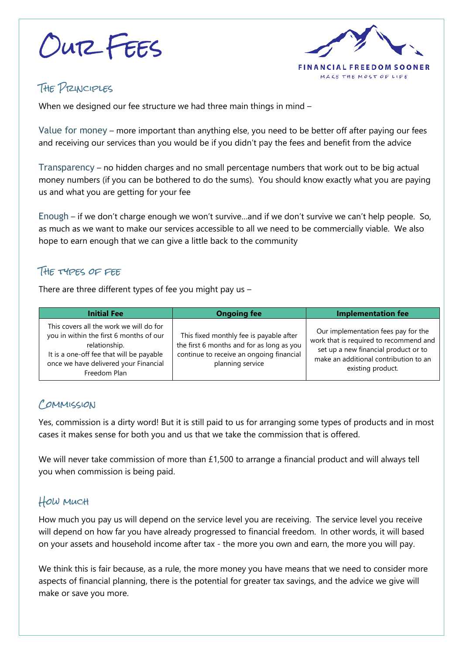Our Fees



# The Principles

When we designed our fee structure we had three main things in mind –

Value for money – more important than anything else, you need to be better off after paying our fees and receiving our services than you would be if you didn't pay the fees and benefit from the advice

Transparency – no hidden charges and no small percentage numbers that work out to be big actual money numbers (if you can be bothered to do the sums). You should know exactly what you are paying us and what you are getting for your fee

Enough – if we don't charge enough we won't survive…and if we don't survive we can't help people. So, as much as we want to make our services accessible to all we need to be commercially viable. We also hope to earn enough that we can give a little back to the community

#### The types of fee

There are three different types of fee you might pay us –

| <b>Initial Fee</b>                                                                                                                                                                                       | <b>Ongoing fee</b>                                                                                                                                   | <b>Implementation fee</b>                                                                                                                                                           |
|----------------------------------------------------------------------------------------------------------------------------------------------------------------------------------------------------------|------------------------------------------------------------------------------------------------------------------------------------------------------|-------------------------------------------------------------------------------------------------------------------------------------------------------------------------------------|
| This covers all the work we will do for<br>you in within the first 6 months of our<br>relationship.<br>It is a one-off fee that will be payable<br>once we have delivered your Financial<br>Freedom Plan | This fixed monthly fee is payable after<br>the first 6 months and for as long as you<br>continue to receive an ongoing financial<br>planning service | Our implementation fees pay for the<br>work that is required to recommend and<br>set up a new financial product or to<br>make an additional contribution to an<br>existing product. |

## COMMISSION

Yes, commission is a dirty word! But it is still paid to us for arranging some types of products and in most cases it makes sense for both you and us that we take the commission that is offered.

We will never take commission of more than £1,500 to arrange a financial product and will always tell you when commission is being paid.

### How much

How much you pay us will depend on the service level you are receiving. The service level you receive will depend on how far you have already progressed to financial freedom. In other words, it will based on your assets and household income after tax - the more you own and earn, the more you will pay.

We think this is fair because, as a rule, the more money you have means that we need to consider more aspects of financial planning, there is the potential for greater tax savings, and the advice we give will make or save you more.